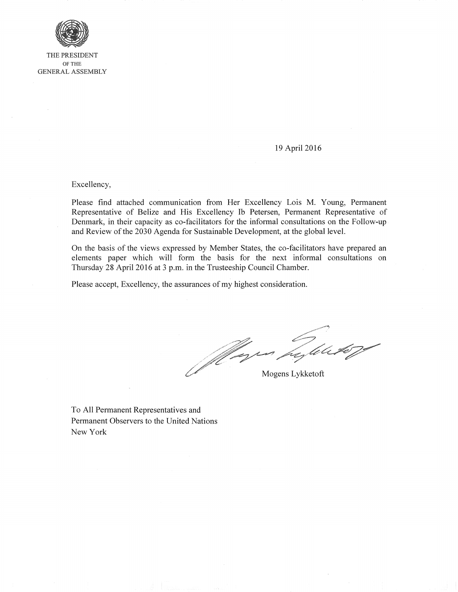

THE PRESIDENT OF THE GENERAL ASSEMBLY

## 19 April 2016

Excellency,

Please find attached communication from Her Excellency Lois M. Young, Permanent Representative of Belize and His Excellency Ib Petersen, Permanent Representative of Denmark, in their capacity as co-facilitators for the informal consultations on the Follow-up and Review of the 2030 Agenda for Sustainable Development, at the global level.

On the basis of the views expressed by Member States, the co-facilitators have prepared an elements paper which will form the basis for the next informal consultations on Thursday 28 April 2016 at 3 p.m. in the Trusteeship Council Chamber.

Please accept, Excellency, the assurances of my highest consideration.

)<br>UUF Mogens Lykketoft t C

To All Permanent Representatives and Permanent Observers to the United Nations New York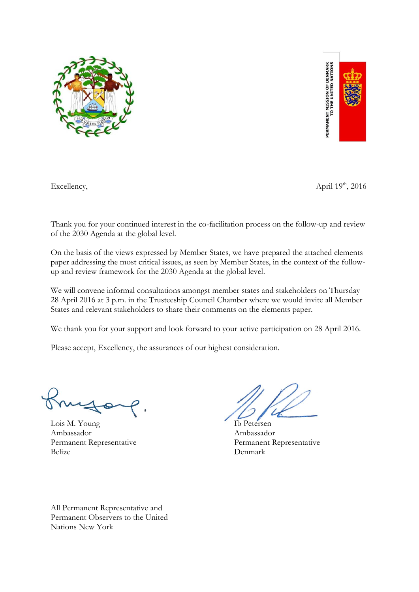



Excellency,

April  $19^{th}$ , 2016

Thank you for your continued interest in the co-facilitation process on the follow-up and review of the 2030 Agenda at the global level.

On the basis of the views expressed by Member States, we have prepared the attached elements paper addressing the most critical issues, as seen by Member States, in the context of the followup and review framework for the 2030 Agenda at the global level.

We will convene informal consultations amongst member states and stakeholders on Thursday 28 April 2016 at 3 p.m. in the Trusteeship Council Chamber where we would invite all Member States and relevant stakeholders to share their comments on the elements paper.

We thank you for your support and look forward to your active participation on 28 April 2016.

Please accept, Excellency, the assurances of our highest consideration.

Lois M. Young Ib Petersen Ambassador Ambassador Belize Denmark

Permanent Representative Permanent Representative

All Permanent Representative and Permanent Observers to the United Nations New York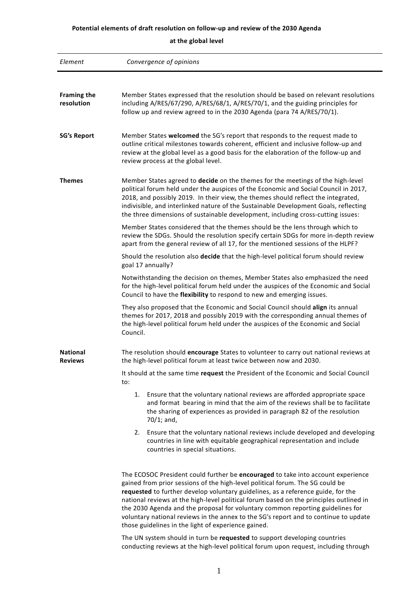## **Potential elements of draft resolution on follow-up and review of the 2030 Agenda**

**at the global level**

| Element                           | Convergence of opinions                                                                                                                                                                                                                                                                                                                                                                                                                                                                                                                                                          |
|-----------------------------------|----------------------------------------------------------------------------------------------------------------------------------------------------------------------------------------------------------------------------------------------------------------------------------------------------------------------------------------------------------------------------------------------------------------------------------------------------------------------------------------------------------------------------------------------------------------------------------|
|                                   |                                                                                                                                                                                                                                                                                                                                                                                                                                                                                                                                                                                  |
| <b>Framing the</b><br>resolution  | Member States expressed that the resolution should be based on relevant resolutions<br>including A/RES/67/290, A/RES/68/1, A/RES/70/1, and the guiding principles for<br>follow up and review agreed to in the 2030 Agenda (para 74 A/RES/70/1).                                                                                                                                                                                                                                                                                                                                 |
| <b>SG's Report</b>                | Member States welcomed the SG's report that responds to the request made to<br>outline critical milestones towards coherent, efficient and inclusive follow-up and<br>review at the global level as a good basis for the elaboration of the follow-up and<br>review process at the global level.                                                                                                                                                                                                                                                                                 |
| <b>Themes</b>                     | Member States agreed to decide on the themes for the meetings of the high-level<br>political forum held under the auspices of the Economic and Social Council in 2017,<br>2018, and possibly 2019. In their view, the themes should reflect the integrated,<br>indivisible, and interlinked nature of the Sustainable Development Goals, reflecting<br>the three dimensions of sustainable development, including cross-cutting issues:                                                                                                                                          |
|                                   | Member States considered that the themes should be the lens through which to<br>review the SDGs. Should the resolution specify certain SDGs for more in-depth review<br>apart from the general review of all 17, for the mentioned sessions of the HLPF?                                                                                                                                                                                                                                                                                                                         |
|                                   | Should the resolution also decide that the high-level political forum should review<br>goal 17 annually?                                                                                                                                                                                                                                                                                                                                                                                                                                                                         |
|                                   | Notwithstanding the decision on themes, Member States also emphasized the need<br>for the high-level political forum held under the auspices of the Economic and Social<br>Council to have the flexibility to respond to new and emerging issues.                                                                                                                                                                                                                                                                                                                                |
|                                   | They also proposed that the Economic and Social Council should align its annual<br>themes for 2017, 2018 and possibly 2019 with the corresponding annual themes of<br>the high-level political forum held under the auspices of the Economic and Social<br>Council.                                                                                                                                                                                                                                                                                                              |
| <b>National</b><br><b>Reviews</b> | The resolution should encourage States to volunteer to carry out national reviews at<br>the high-level political forum at least twice between now and 2030.                                                                                                                                                                                                                                                                                                                                                                                                                      |
|                                   | It should at the same time request the President of the Economic and Social Council<br>to:                                                                                                                                                                                                                                                                                                                                                                                                                                                                                       |
|                                   | Ensure that the voluntary national reviews are afforded appropriate space<br>1.<br>and format bearing in mind that the aim of the reviews shall be to facilitate<br>the sharing of experiences as provided in paragraph 82 of the resolution<br>$70/1$ ; and,                                                                                                                                                                                                                                                                                                                    |
|                                   | Ensure that the voluntary national reviews include developed and developing<br>2.<br>countries in line with equitable geographical representation and include<br>countries in special situations.                                                                                                                                                                                                                                                                                                                                                                                |
|                                   | The ECOSOC President could further be encouraged to take into account experience<br>gained from prior sessions of the high-level political forum. The SG could be<br>requested to further develop voluntary guidelines, as a reference guide, for the<br>national reviews at the high-level political forum based on the principles outlined in<br>the 2030 Agenda and the proposal for voluntary common reporting guidelines for<br>voluntary national reviews in the annex to the SG's report and to continue to update<br>those guidelines in the light of experience gained. |
|                                   | The UN system should in turn be requested to support developing countries<br>conducting reviews at the high-level political forum upon request, including through                                                                                                                                                                                                                                                                                                                                                                                                                |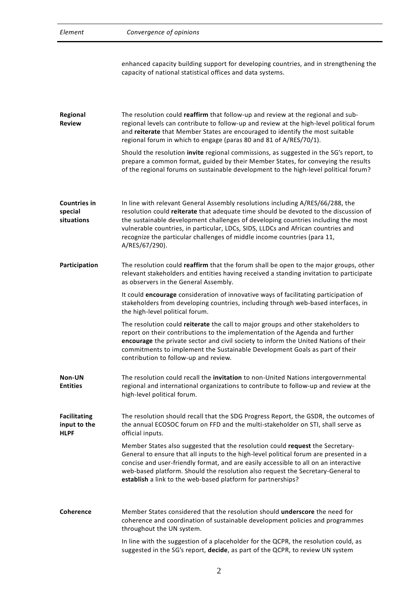| Element                                            | Convergence of opinions                                                                                                                                                                                                                                                                                                                                                                                                                       |
|----------------------------------------------------|-----------------------------------------------------------------------------------------------------------------------------------------------------------------------------------------------------------------------------------------------------------------------------------------------------------------------------------------------------------------------------------------------------------------------------------------------|
|                                                    | enhanced capacity building support for developing countries, and in strengthening the<br>capacity of national statistical offices and data systems.                                                                                                                                                                                                                                                                                           |
| Regional<br><b>Review</b>                          | The resolution could reaffirm that follow-up and review at the regional and sub-<br>regional levels can contribute to follow-up and review at the high-level political forum<br>and reiterate that Member States are encouraged to identify the most suitable<br>regional forum in which to engage (paras 80 and 81 of A/RES/70/1).                                                                                                           |
|                                                    | Should the resolution invite regional commissions, as suggested in the SG's report, to<br>prepare a common format, guided by their Member States, for conveying the results<br>of the regional forums on sustainable development to the high-level political forum?                                                                                                                                                                           |
| <b>Countries in</b><br>special<br>situations       | In line with relevant General Assembly resolutions including A/RES/66/288, the<br>resolution could reiterate that adequate time should be devoted to the discussion of<br>the sustainable development challenges of developing countries including the most<br>vulnerable countries, in particular, LDCs, SIDS, LLDCs and African countries and<br>recognize the particular challenges of middle income countries (para 11,<br>A/RES/67/290). |
| Participation                                      | The resolution could reaffirm that the forum shall be open to the major groups, other<br>relevant stakeholders and entities having received a standing invitation to participate<br>as observers in the General Assembly.                                                                                                                                                                                                                     |
|                                                    | It could encourage consideration of innovative ways of facilitating participation of<br>stakeholders from developing countries, including through web-based interfaces, in<br>the high-level political forum.                                                                                                                                                                                                                                 |
|                                                    | The resolution could reiterate the call to major groups and other stakeholders to<br>report on their contributions to the implementation of the Agenda and further<br>encourage the private sector and civil society to inform the United Nations of their<br>commitments to implement the Sustainable Development Goals as part of their<br>contribution to follow-up and review.                                                            |
| Non-UN<br><b>Entities</b>                          | The resolution could recall the invitation to non-United Nations intergovernmental<br>regional and international organizations to contribute to follow-up and review at the<br>high-level political forum.                                                                                                                                                                                                                                    |
| <b>Facilitating</b><br>input to the<br><b>HLPF</b> | The resolution should recall that the SDG Progress Report, the GSDR, the outcomes of<br>the annual ECOSOC forum on FFD and the multi-stakeholder on STI, shall serve as<br>official inputs.                                                                                                                                                                                                                                                   |
|                                                    | Member States also suggested that the resolution could request the Secretary-<br>General to ensure that all inputs to the high-level political forum are presented in a<br>concise and user-friendly format, and are easily accessible to all on an interactive<br>web-based platform. Should the resolution also request the Secretary-General to<br>establish a link to the web-based platform for partnerships?                            |
| Coherence                                          | Member States considered that the resolution should underscore the need for<br>coherence and coordination of sustainable development policies and programmes<br>throughout the UN system.                                                                                                                                                                                                                                                     |
|                                                    | In line with the suggestion of a placeholder for the QCPR, the resolution could, as                                                                                                                                                                                                                                                                                                                                                           |

suggested in the SG's report, **decide**, as part of the QCPR, to review UN system